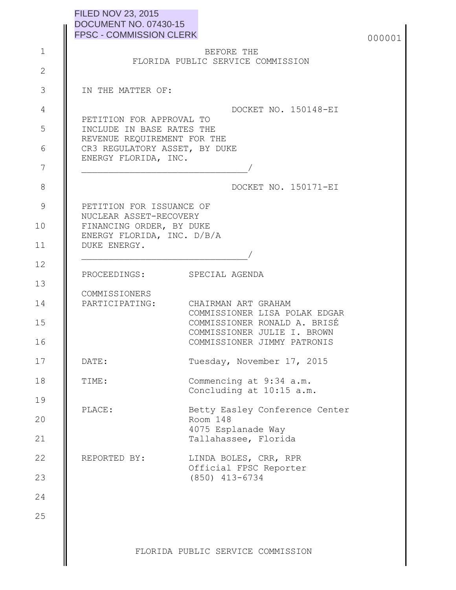| <b>FILED NOV 23, 2015</b>      |
|--------------------------------|
| DOCUMENT NO. 07430-15          |
| <b>FPSC - COMMISSION CLERK</b> |

|        | <b>DOCUMENT NO. 07430-15</b><br><b>FPSC - COMMISSION CLERK</b> |                                                                     | 000001 |
|--------|----------------------------------------------------------------|---------------------------------------------------------------------|--------|
|        |                                                                | BEFORE THE                                                          |        |
|        |                                                                | FLORIDA PUBLIC SERVICE COMMISSION                                   |        |
|        | IN THE MATTER OF:                                              |                                                                     |        |
|        |                                                                | DOCKET NO. 150148-EI                                                |        |
|        | PETITION FOR APPROVAL TO<br>INCLUDE IN BASE RATES THE          |                                                                     |        |
|        | REVENUE REQUIREMENT FOR THE                                    |                                                                     |        |
|        | CR3 REGULATORY ASSET, BY DUKE<br>ENERGY FLORIDA, INC.          |                                                                     |        |
|        |                                                                |                                                                     |        |
|        |                                                                | DOCKET NO. 150171-EI                                                |        |
|        | PETITION FOR ISSUANCE OF                                       |                                                                     |        |
|        | NUCLEAR ASSET-RECOVERY<br>FINANCING ORDER, BY DUKE             |                                                                     |        |
|        | ENERGY FLORIDA, INC. D/B/A<br>DUKE ENERGY.                     |                                                                     |        |
|        |                                                                |                                                                     |        |
|        | PROCEEDINGS: SPECIAL AGENDA                                    |                                                                     |        |
|        | COMMISSIONERS                                                  |                                                                     |        |
|        |                                                                | PARTICIPATING: CHAIRMAN ART GRAHAM<br>COMMISSIONER LISA POLAK EDGAR |        |
|        |                                                                | COMMISSIONER RONALD A. BRISÉ<br>COMMISSIONER JULIE I. BROWN         |        |
|        |                                                                | COMMISSIONER JIMMY PATRONIS                                         |        |
| DATE:  |                                                                | Tuesday, November 17, 2015                                          |        |
| TIME:  |                                                                | Commencing at 9:34 a.m.                                             |        |
|        |                                                                | Concluding at 10:15 a.m.                                            |        |
| PLACE: |                                                                | Betty Easley Conference Center<br>Room 148                          |        |
|        |                                                                | 4075 Esplanade Way<br>Tallahassee, Florida                          |        |
|        | REPORTED BY:                                                   | LINDA BOLES, CRR, RPR                                               |        |
|        |                                                                | Official FPSC Reporter                                              |        |
|        |                                                                | $(850)$ 413-6734                                                    |        |
|        |                                                                |                                                                     |        |
|        |                                                                |                                                                     |        |
|        |                                                                |                                                                     |        |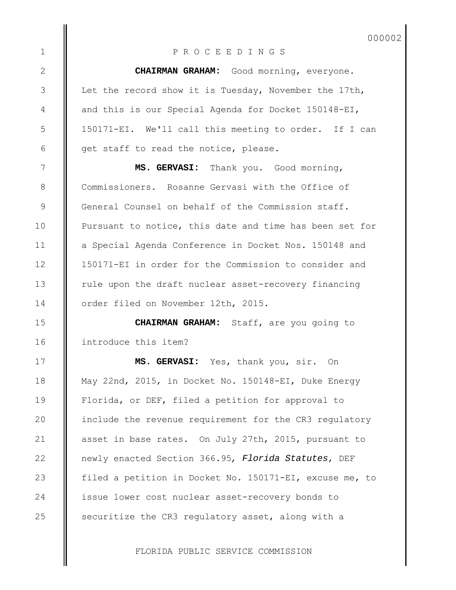000002

## P R O C E E D I N G S

1

2

3

4

5

6

7

8

9

10

11

12

13

14

15

16

17

18

19

20

21

22

23

24

25

**CHAIRMAN GRAHAM:** Good morning, everyone. Let the record show it is Tuesday, November the 17th, and this is our Special Agenda for Docket 150148-EI, 150171-EI. We'll call this meeting to order. If I can get staff to read the notice, please.

**MS. GERVASI:** Thank you. Good morning, Commissioners. Rosanne Gervasi with the Office of General Counsel on behalf of the Commission staff. Pursuant to notice, this date and time has been set for a Special Agenda Conference in Docket Nos. 150148 and 150171-EI in order for the Commission to consider and rule upon the draft nuclear asset-recovery financing order filed on November 12th, 2015.

**CHAIRMAN GRAHAM:** Staff, are you going to introduce this item?

**MS. GERVASI:** Yes, thank you, sir. On May 22nd, 2015, in Docket No. 150148-EI, Duke Energy Florida, or DEF, filed a petition for approval to include the revenue requirement for the CR3 regulatory asset in base rates. On July 27th, 2015, pursuant to newly enacted Section 366.95*, Florida Statutes*, DEF filed a petition in Docket No. 150171-EI, excuse me, to issue lower cost nuclear asset-recovery bonds to securitize the CR3 regulatory asset, along with a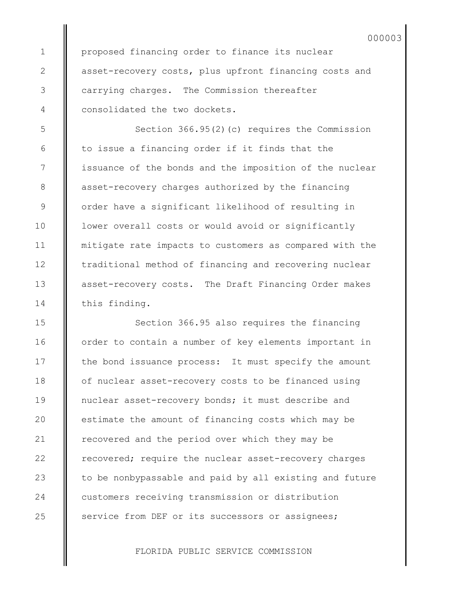proposed financing order to finance its nuclear asset-recovery costs, plus upfront financing costs and carrying charges. The Commission thereafter consolidated the two dockets.

Section 366.95(2)(c) requires the Commission to issue a financing order if it finds that the issuance of the bonds and the imposition of the nuclear asset-recovery charges authorized by the financing order have a significant likelihood of resulting in lower overall costs or would avoid or significantly mitigate rate impacts to customers as compared with the traditional method of financing and recovering nuclear asset-recovery costs. The Draft Financing Order makes this finding.

Section 366.95 also requires the financing order to contain a number of key elements important in the bond issuance process: It must specify the amount of nuclear asset-recovery costs to be financed using nuclear asset-recovery bonds; it must describe and estimate the amount of financing costs which may be recovered and the period over which they may be recovered; require the nuclear asset-recovery charges to be nonbypassable and paid by all existing and future customers receiving transmission or distribution service from DEF or its successors or assignees;

FLORIDA PUBLIC SERVICE COMMISSION

25

1

2

3

4

5

6

7

8

9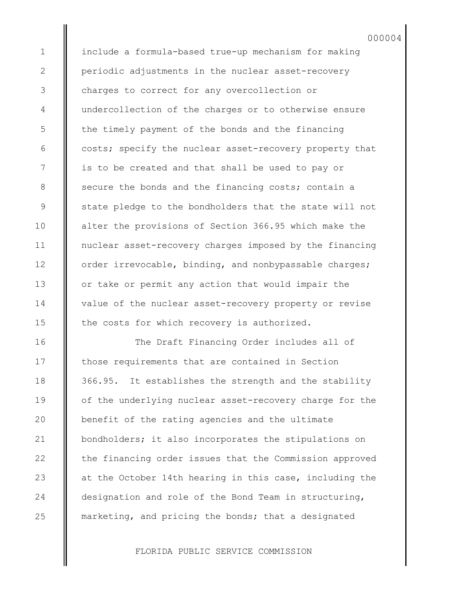include a formula-based true-up mechanism for making periodic adjustments in the nuclear asset-recovery charges to correct for any overcollection or undercollection of the charges or to otherwise ensure the timely payment of the bonds and the financing costs; specify the nuclear asset-recovery property that is to be created and that shall be used to pay or secure the bonds and the financing costs; contain a state pledge to the bondholders that the state will not alter the provisions of Section 366.95 which make the nuclear asset-recovery charges imposed by the financing order irrevocable, binding, and nonbypassable charges; or take or permit any action that would impair the value of the nuclear asset-recovery property or revise the costs for which recovery is authorized.

000004

1

2

3

4

5

6

7

8

9

10

11

12

13

14

15

16

17

18

19

20

21

22

23

24

25

The Draft Financing Order includes all of those requirements that are contained in Section 366.95. It establishes the strength and the stability of the underlying nuclear asset-recovery charge for the benefit of the rating agencies and the ultimate bondholders; it also incorporates the stipulations on the financing order issues that the Commission approved at the October 14th hearing in this case, including the designation and role of the Bond Team in structuring, marketing, and pricing the bonds; that a designated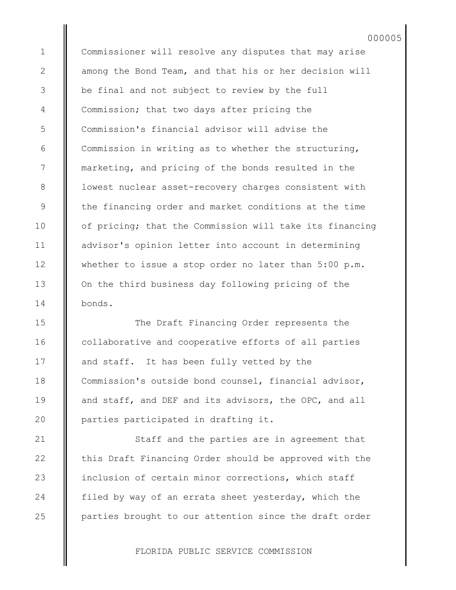Commissioner will resolve any disputes that may arise among the Bond Team, and that his or her decision will be final and not subject to review by the full Commission; that two days after pricing the Commission's financial advisor will advise the Commission in writing as to whether the structuring, marketing, and pricing of the bonds resulted in the lowest nuclear asset-recovery charges consistent with the financing order and market conditions at the time of pricing; that the Commission will take its financing advisor's opinion letter into account in determining whether to issue a stop order no later than 5:00 p.m. On the third business day following pricing of the bonds.

000005

The Draft Financing Order represents the collaborative and cooperative efforts of all parties and staff. It has been fully vetted by the Commission's outside bond counsel, financial advisor, and staff, and DEF and its advisors, the OPC, and all parties participated in drafting it.

Staff and the parties are in agreement that this Draft Financing Order should be approved with the inclusion of certain minor corrections, which staff filed by way of an errata sheet yesterday, which the parties brought to our attention since the draft order

FLORIDA PUBLIC SERVICE COMMISSION

25

1

2

3

4

5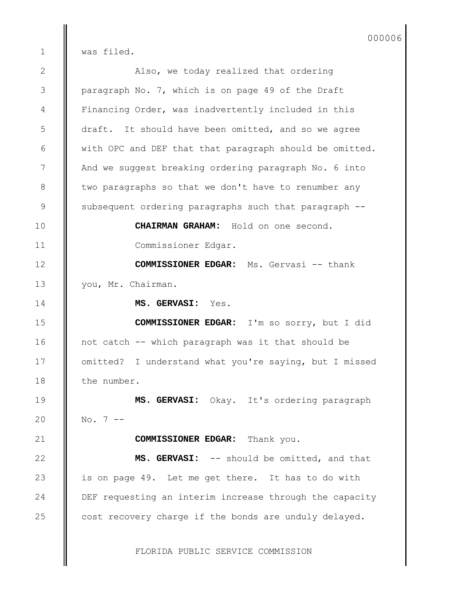000006

was filed.

1

FLORIDA PUBLIC SERVICE COMMISSION Also, we today realized that ordering paragraph No. 7, which is on page 49 of the Draft Financing Order, was inadvertently included in this draft. It should have been omitted, and so we agree with OPC and DEF that that paragraph should be omitted. And we suggest breaking ordering paragraph No. 6 into two paragraphs so that we don't have to renumber any subsequent ordering paragraphs such that paragraph -- **CHAIRMAN GRAHAM:** Hold on one second. Commissioner Edgar. **COMMISSIONER EDGAR:** Ms. Gervasi -- thank you, Mr. Chairman. **MS. GERVASI:** Yes. **COMMISSIONER EDGAR:** I'm so sorry, but I did not catch -- which paragraph was it that should be omitted? I understand what you're saying, but I missed the number. **MS. GERVASI:** Okay. It's ordering paragraph  $No. 7 --$ **COMMISSIONER EDGAR:** Thank you. **MS. GERVASI:** -- should be omitted, and that is on page 49. Let me get there. It has to do with DEF requesting an interim increase through the capacity cost recovery charge if the bonds are unduly delayed. 2 3 4 5 6 7 8 9 10 11 12 13 14 15 16 17 18 19 20 21 22 23 24 25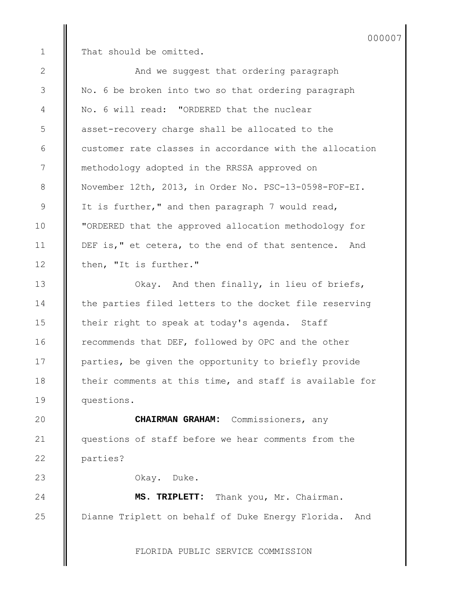1

2

3

4

5

6

7

8

9

10

11

12

13

14

15

16

17

18

19

23

24

25

That should be omitted.

And we suggest that ordering paragraph No. 6 be broken into two so that ordering paragraph No. 6 will read: "ORDERED that the nuclear asset-recovery charge shall be allocated to the customer rate classes in accordance with the allocation methodology adopted in the RRSSA approved on November 12th, 2013, in Order No. PSC-13-0598-FOF-EI. It is further," and then paragraph 7 would read, "ORDERED that the approved allocation methodology for DEF is," et cetera, to the end of that sentence. And then, "It is further." Okay. And then finally, in lieu of briefs,

the parties filed letters to the docket file reserving their right to speak at today's agenda. Staff recommends that DEF, followed by OPC and the other parties, be given the opportunity to briefly provide their comments at this time, and staff is available for questions.

**CHAIRMAN GRAHAM:** Commissioners, any questions of staff before we hear comments from the parties?  $20$ 21 22

Okay. Duke.

**MS. TRIPLETT:** Thank you, Mr. Chairman. Dianne Triplett on behalf of Duke Energy Florida. And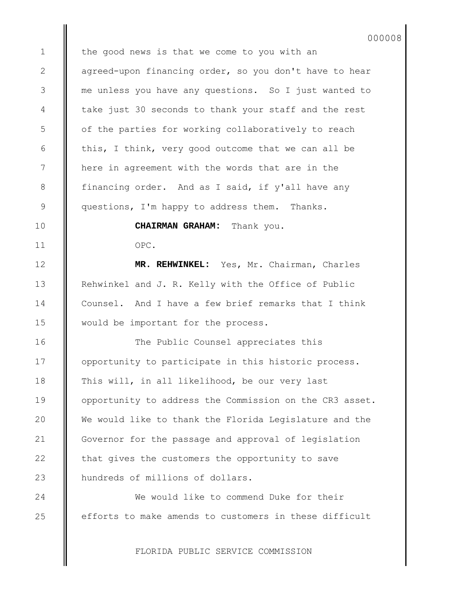the good news is that we come to you with an agreed-upon financing order, so you don't have to hear me unless you have any questions. So I just wanted to take just 30 seconds to thank your staff and the rest of the parties for working collaboratively to reach this, I think, very good outcome that we can all be here in agreement with the words that are in the financing order. And as I said, if y'all have any questions, I'm happy to address them. Thanks.

000008

**CHAIRMAN GRAHAM:** Thank you.

OPC.

**MR. REHWINKEL:** Yes, Mr. Chairman, Charles Rehwinkel and J. R. Kelly with the Office of Public Counsel. And I have a few brief remarks that I think would be important for the process.

The Public Counsel appreciates this opportunity to participate in this historic process. This will, in all likelihood, be our very last opportunity to address the Commission on the CR3 asset. We would like to thank the Florida Legislature and the Governor for the passage and approval of legislation that gives the customers the opportunity to save hundreds of millions of dollars.

We would like to commend Duke for their efforts to make amends to customers in these difficult

FLORIDA PUBLIC SERVICE COMMISSION

25

1

2

3

4

5

6

7

8

9

10

11

12

13

14

15

16

17

18

19

20

21

22

23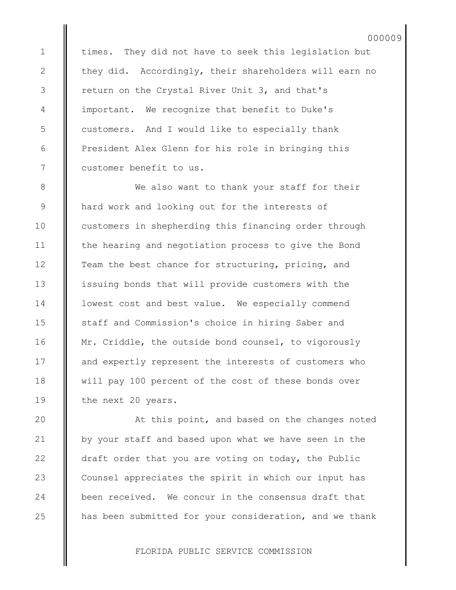times. They did not have to seek this legislation but they did. Accordingly, their shareholders will earn no return on the Crystal River Unit 3, and that's important. We recognize that benefit to Duke's customers. And I would like to especially thank President Alex Glenn for his role in bringing this customer benefit to us.

1

2

3

4

5

6

7

8

9

10

11

12

13

14

15

16

17

18

19

20

21

22

23

24

25

We also want to thank your staff for their hard work and looking out for the interests of customers in shepherding this financing order through the hearing and negotiation process to give the Bond Team the best chance for structuring, pricing, and issuing bonds that will provide customers with the lowest cost and best value. We especially commend staff and Commission's choice in hiring Saber and Mr. Criddle, the outside bond counsel, to vigorously and expertly represent the interests of customers who will pay 100 percent of the cost of these bonds over the next 20 years.

At this point, and based on the changes noted by your staff and based upon what we have seen in the draft order that you are voting on today, the Public Counsel appreciates the spirit in which our input has been received. We concur in the consensus draft that has been submitted for your consideration, and we thank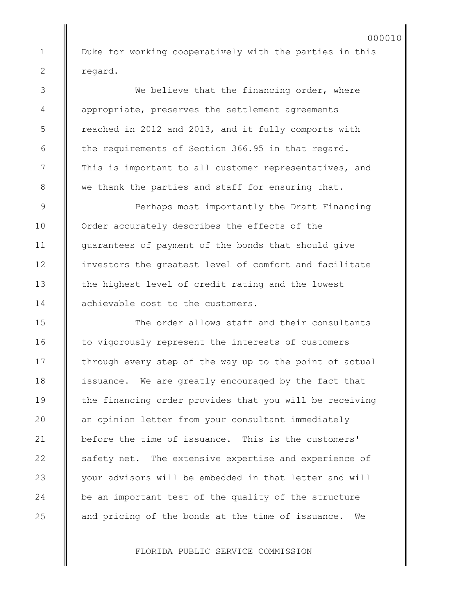Duke for working cooperatively with the parties in this regard.

We believe that the financing order, where appropriate, preserves the settlement agreements reached in 2012 and 2013, and it fully comports with the requirements of Section 366.95 in that regard. This is important to all customer representatives, and we thank the parties and staff for ensuring that.

Perhaps most importantly the Draft Financing Order accurately describes the effects of the guarantees of payment of the bonds that should give investors the greatest level of comfort and facilitate the highest level of credit rating and the lowest achievable cost to the customers.

The order allows staff and their consultants to vigorously represent the interests of customers through every step of the way up to the point of actual issuance. We are greatly encouraged by the fact that the financing order provides that you will be receiving an opinion letter from your consultant immediately before the time of issuance. This is the customers' safety net. The extensive expertise and experience of your advisors will be embedded in that letter and will be an important test of the quality of the structure and pricing of the bonds at the time of issuance. We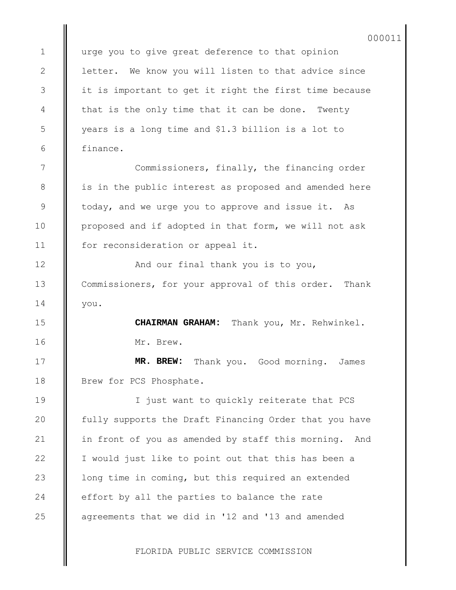urge you to give great deference to that opinion letter. We know you will listen to that advice since it is important to get it right the first time because that is the only time that it can be done. Twenty years is a long time and \$1.3 billion is a lot to finance.

Commissioners, finally, the financing order is in the public interest as proposed and amended here today, and we urge you to approve and issue it. As proposed and if adopted in that form, we will not ask for reconsideration or appeal it.

And our final thank you is to you, Commissioners, for your approval of this order. Thank you.

> **CHAIRMAN GRAHAM:** Thank you, Mr. Rehwinkel. Mr. Brew.

**MR. BREW:** Thank you. Good morning. James Brew for PCS Phosphate.

I just want to quickly reiterate that PCS fully supports the Draft Financing Order that you have in front of you as amended by staff this morning. And I would just like to point out that this has been a long time in coming, but this required an extended effort by all the parties to balance the rate agreements that we did in '12 and '13 and amended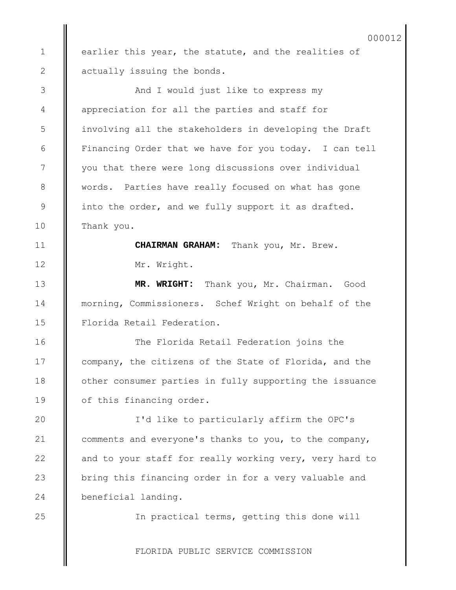earlier this year, the statute, and the realities of actually issuing the bonds.

1

2

3

4

5

6

7

8

9

10

11

12

13

14

15

16

17

18

19

20

21

22

23

24

25

And I would just like to express my appreciation for all the parties and staff for involving all the stakeholders in developing the Draft Financing Order that we have for you today. I can tell you that there were long discussions over individual words. Parties have really focused on what has gone into the order, and we fully support it as drafted. Thank you.

> **CHAIRMAN GRAHAM:** Thank you, Mr. Brew. Mr. Wright.

**MR. WRIGHT:** Thank you, Mr. Chairman. Good morning, Commissioners. Schef Wright on behalf of the Florida Retail Federation.

The Florida Retail Federation joins the company, the citizens of the State of Florida, and the other consumer parties in fully supporting the issuance of this financing order.

I'd like to particularly affirm the OPC's comments and everyone's thanks to you, to the company, and to your staff for really working very, very hard to bring this financing order in for a very valuable and beneficial landing.

In practical terms, getting this done will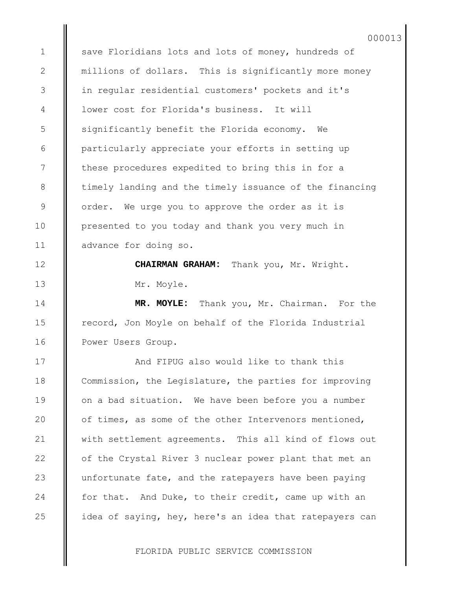save Floridians lots and lots of money, hundreds of millions of dollars. This is significantly more money in regular residential customers' pockets and it's lower cost for Florida's business. It will significantly benefit the Florida economy. We particularly appreciate your efforts in setting up these procedures expedited to bring this in for a timely landing and the timely issuance of the financing order. We urge you to approve the order as it is presented to you today and thank you very much in advance for doing so.

1

2

3

4

5

6

7

8

9

10

11

12

13

14

15

16

17

18

19

20

21

22

23

24

25

**CHAIRMAN GRAHAM:** Thank you, Mr. Wright. Mr. Moyle.

**MR. MOYLE:** Thank you, Mr. Chairman. For the record, Jon Moyle on behalf of the Florida Industrial Power Users Group.

And FIPUG also would like to thank this Commission, the Legislature, the parties for improving on a bad situation. We have been before you a number of times, as some of the other Intervenors mentioned, with settlement agreements. This all kind of flows out of the Crystal River 3 nuclear power plant that met an unfortunate fate, and the ratepayers have been paying for that. And Duke, to their credit, came up with an idea of saying, hey, here's an idea that ratepayers can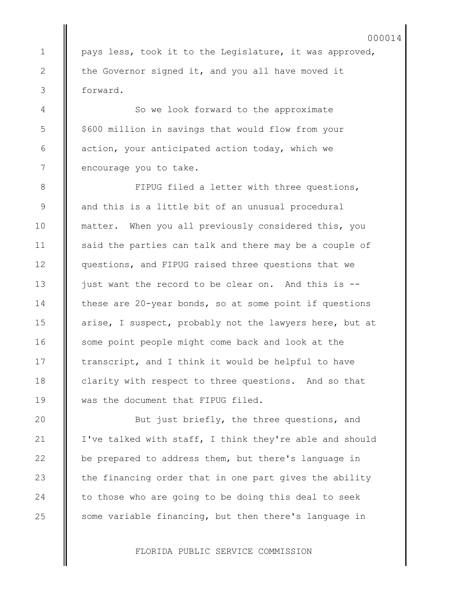pays less, took it to the Legislature, it was approved, the Governor signed it, and you all have moved it forward.

So we look forward to the approximate \$600 million in savings that would flow from your action, your anticipated action today, which we encourage you to take.

1

2

3

4

5

6

7

8

9

10

11

12

13

14

15

16

17

18

19

20

21

22

23

24

25

FIPUG filed a letter with three questions, and this is a little bit of an unusual procedural matter. When you all previously considered this, you said the parties can talk and there may be a couple of questions, and FIPUG raised three questions that we just want the record to be clear on. And this is - these are 20-year bonds, so at some point if questions arise, I suspect, probably not the lawyers here, but at some point people might come back and look at the transcript, and I think it would be helpful to have clarity with respect to three questions. And so that was the document that FIPUG filed.

But just briefly, the three questions, and I've talked with staff, I think they're able and should be prepared to address them, but there's language in the financing order that in one part gives the ability to those who are going to be doing this deal to seek some variable financing, but then there's language in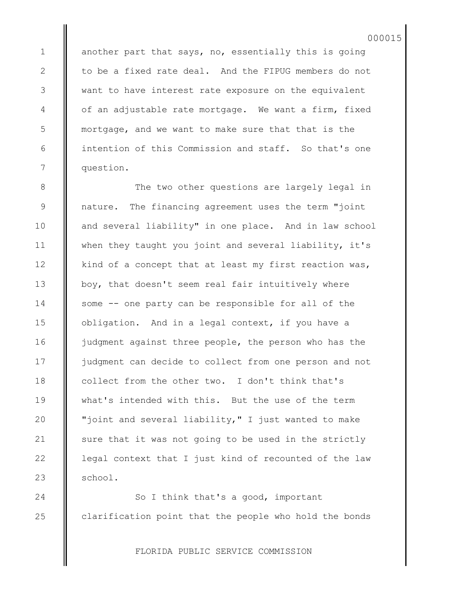another part that says, no, essentially this is going to be a fixed rate deal. And the FIPUG members do not want to have interest rate exposure on the equivalent of an adjustable rate mortgage. We want a firm, fixed mortgage, and we want to make sure that that is the intention of this Commission and staff. So that's one question.

The two other questions are largely legal in nature. The financing agreement uses the term "joint and several liability" in one place. And in law school when they taught you joint and several liability, it's kind of a concept that at least my first reaction was, boy, that doesn't seem real fair intuitively where some -- one party can be responsible for all of the obligation. And in a legal context, if you have a judgment against three people, the person who has the judgment can decide to collect from one person and not collect from the other two. I don't think that's what's intended with this. But the use of the term "joint and several liability," I just wanted to make sure that it was not going to be used in the strictly legal context that I just kind of recounted of the law school.

So I think that's a good, important clarification point that the people who hold the bonds

FLORIDA PUBLIC SERVICE COMMISSION

1

2

3

4

5

6

7

8

9

10

11

12

13

25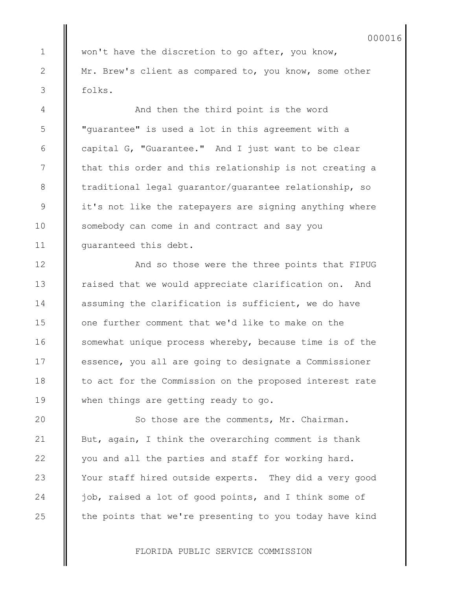won't have the discretion to go after, you know, Mr. Brew's client as compared to, you know, some other folks.

And then the third point is the word "guarantee" is used a lot in this agreement with a capital G, "Guarantee." And I just want to be clear that this order and this relationship is not creating a traditional legal guarantor/guarantee relationship, so it's not like the ratepayers are signing anything where somebody can come in and contract and say you guaranteed this debt.

And so those were the three points that FIPUG raised that we would appreciate clarification on. And assuming the clarification is sufficient, we do have one further comment that we'd like to make on the somewhat unique process whereby, because time is of the essence, you all are going to designate a Commissioner to act for the Commission on the proposed interest rate when things are getting ready to go.

So those are the comments, Mr. Chairman. But, again, I think the overarching comment is thank you and all the parties and staff for working hard. Your staff hired outside experts. They did a very good job, raised a lot of good points, and I think some of the points that we're presenting to you today have kind

FLORIDA PUBLIC SERVICE COMMISSION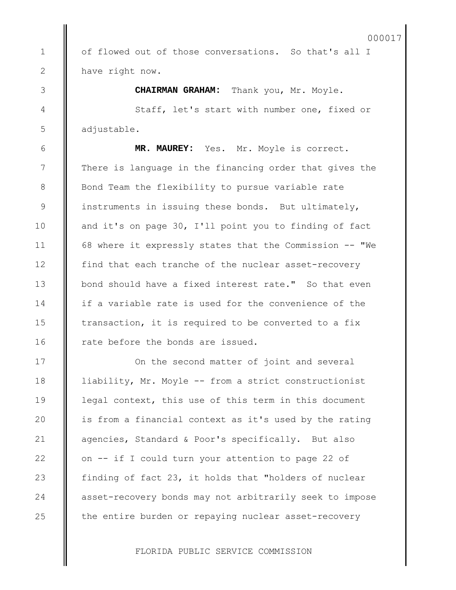of flowed out of those conversations. So that's all I have right now.

**CHAIRMAN GRAHAM:** Thank you, Mr. Moyle. Staff, let's start with number one, fixed or

adjustable.

1

2

3

4

5

6

7

8

9

10

11

12

13

14

15

16

17

18

19

20

21

22

23

24

25

**MR. MAUREY:** Yes. Mr. Moyle is correct. There is language in the financing order that gives the Bond Team the flexibility to pursue variable rate instruments in issuing these bonds. But ultimately, and it's on page 30, I'll point you to finding of fact 68 where it expressly states that the Commission -- "We find that each tranche of the nuclear asset-recovery bond should have a fixed interest rate." So that even if a variable rate is used for the convenience of the transaction, it is required to be converted to a fix rate before the bonds are issued.

On the second matter of joint and several liability, Mr. Moyle -- from a strict constructionist legal context, this use of this term in this document is from a financial context as it's used by the rating agencies, Standard & Poor's specifically. But also on -- if I could turn your attention to page 22 of finding of fact 23, it holds that "holders of nuclear asset-recovery bonds may not arbitrarily seek to impose the entire burden or repaying nuclear asset-recovery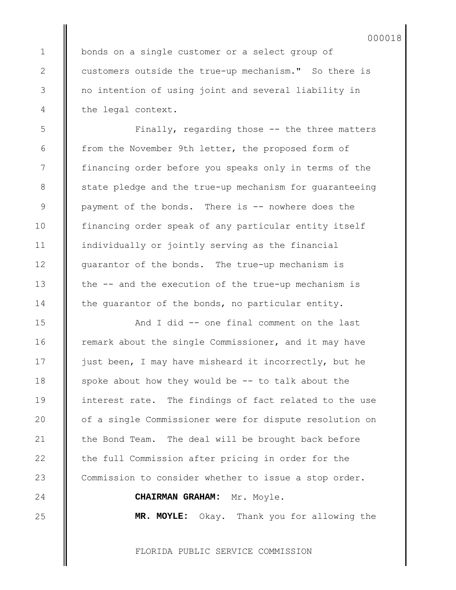bonds on a single customer or a select group of customers outside the true-up mechanism." So there is no intention of using joint and several liability in the legal context.

1

2

3

4

5

6

7

8

9

10

11

12

13

14

15

16

17

18

19

20

21

22

23

24

25

Finally, regarding those -- the three matters from the November 9th letter, the proposed form of financing order before you speaks only in terms of the state pledge and the true-up mechanism for guaranteeing payment of the bonds. There is -- nowhere does the financing order speak of any particular entity itself individually or jointly serving as the financial guarantor of the bonds. The true-up mechanism is the -- and the execution of the true-up mechanism is the guarantor of the bonds, no particular entity.

And I did -- one final comment on the last remark about the single Commissioner, and it may have just been, I may have misheard it incorrectly, but he spoke about how they would be -- to talk about the interest rate. The findings of fact related to the use of a single Commissioner were for dispute resolution on the Bond Team. The deal will be brought back before the full Commission after pricing in order for the Commission to consider whether to issue a stop order.

## **CHAIRMAN GRAHAM:** Mr. Moyle.

**MR. MOYLE:** Okay. Thank you for allowing the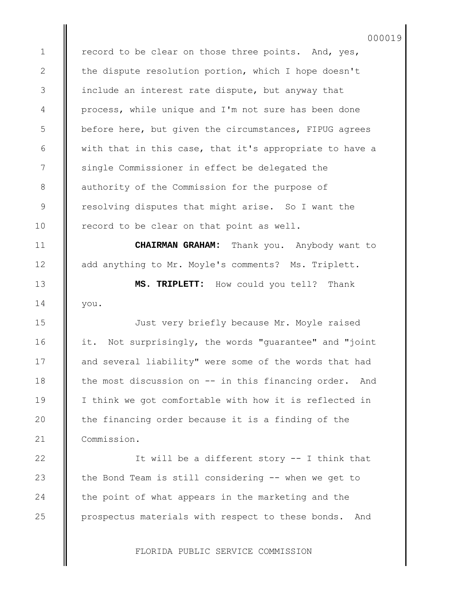record to be clear on those three points. And, yes, the dispute resolution portion, which I hope doesn't include an interest rate dispute, but anyway that process, while unique and I'm not sure has been done before here, but given the circumstances, FIPUG agrees with that in this case, that it's appropriate to have a single Commissioner in effect be delegated the authority of the Commission for the purpose of resolving disputes that might arise. So I want the record to be clear on that point as well.

1

2

3

4

5

6

7

8

9

10

11

12

13

14

15

16

17

18

19

20

21

22

23

24

25

**CHAIRMAN GRAHAM:** Thank you. Anybody want to add anything to Mr. Moyle's comments? Ms. Triplett.

**MS. TRIPLETT:** How could you tell? Thank you.

Just very briefly because Mr. Moyle raised it. Not surprisingly, the words "guarantee" and "joint and several liability" were some of the words that had the most discussion on -- in this financing order. And I think we got comfortable with how it is reflected in the financing order because it is a finding of the Commission.

It will be a different story -- I think that the Bond Team is still considering -- when we get to the point of what appears in the marketing and the prospectus materials with respect to these bonds. And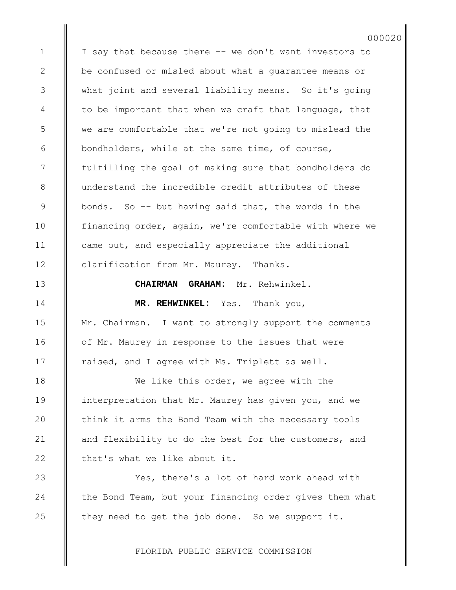I say that because there -- we don't want investors to be confused or misled about what a guarantee means or what joint and several liability means. So it's going to be important that when we craft that language, that we are comfortable that we're not going to mislead the bondholders, while at the same time, of course, fulfilling the goal of making sure that bondholders do understand the incredible credit attributes of these bonds. So -- but having said that, the words in the financing order, again, we're comfortable with where we came out, and especially appreciate the additional clarification from Mr. Maurey. Thanks.

000020

**CHAIRMAN GRAHAM:** Mr. Rehwinkel.

**MR. REHWINKEL:** Yes. Thank you, Mr. Chairman. I want to strongly support the comments of Mr. Maurey in response to the issues that were raised, and I agree with Ms. Triplett as well.

We like this order, we agree with the interpretation that Mr. Maurey has given you, and we think it arms the Bond Team with the necessary tools and flexibility to do the best for the customers, and that's what we like about it.

Yes, there's a lot of hard work ahead with the Bond Team, but your financing order gives them what they need to get the job done. So we support it.

FLORIDA PUBLIC SERVICE COMMISSION

22

23

24

25

1

2

3

4

5

6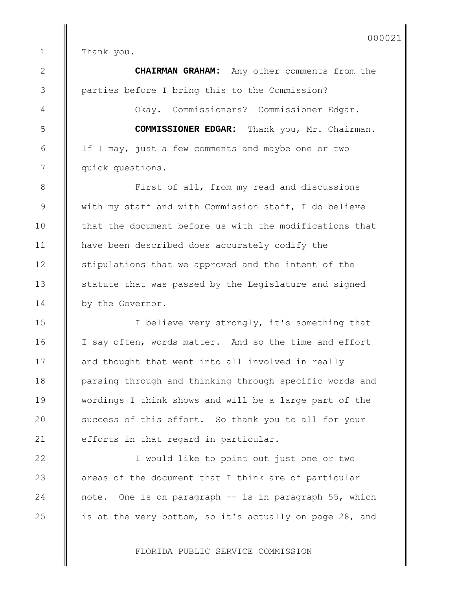Thank you.

**CHAIRMAN GRAHAM:** Any other comments from the parties before I bring this to the Commission?

Okay. Commissioners? Commissioner Edgar.

**COMMISSIONER EDGAR:** Thank you, Mr. Chairman. If I may, just a few comments and maybe one or two quick questions.

First of all, from my read and discussions with my staff and with Commission staff, I do believe that the document before us with the modifications that have been described does accurately codify the stipulations that we approved and the intent of the statute that was passed by the Legislature and signed by the Governor.

I believe very strongly, it's something that I say often, words matter. And so the time and effort and thought that went into all involved in really parsing through and thinking through specific words and wordings I think shows and will be a large part of the success of this effort. So thank you to all for your efforts in that regard in particular.

I would like to point out just one or two areas of the document that I think are of particular note. One is on paragraph -- is in paragraph 55, which is at the very bottom, so it's actually on page 28, and

FLORIDA PUBLIC SERVICE COMMISSION

 1 2

3

4

5

6

7

8

9

10

11

12

13

14

15

16

17

18

19

20

21

22

23

24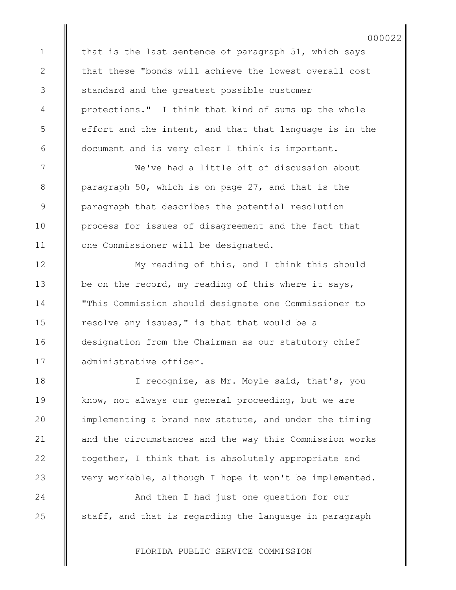that is the last sentence of paragraph 51, which says that these "bonds will achieve the lowest overall cost standard and the greatest possible customer protections." I think that kind of sums up the whole effort and the intent, and that that language is in the document and is very clear I think is important.

1

2

3

4

5

6

7

8

9

10

11

12

13

14

15

16

17

18

19

 $20$ 

21

22

23

24

25

We've had a little bit of discussion about paragraph 50, which is on page 27, and that is the paragraph that describes the potential resolution process for issues of disagreement and the fact that one Commissioner will be designated.

My reading of this, and I think this should be on the record, my reading of this where it says, "This Commission should designate one Commissioner to resolve any issues," is that that would be a designation from the Chairman as our statutory chief administrative officer.

I recognize, as Mr. Moyle said, that's, you know, not always our general proceeding, but we are implementing a brand new statute, and under the timing and the circumstances and the way this Commission works together, I think that is absolutely appropriate and very workable, although I hope it won't be implemented.

And then I had just one question for our staff, and that is regarding the language in paragraph

FLORIDA PUBLIC SERVICE COMMISSION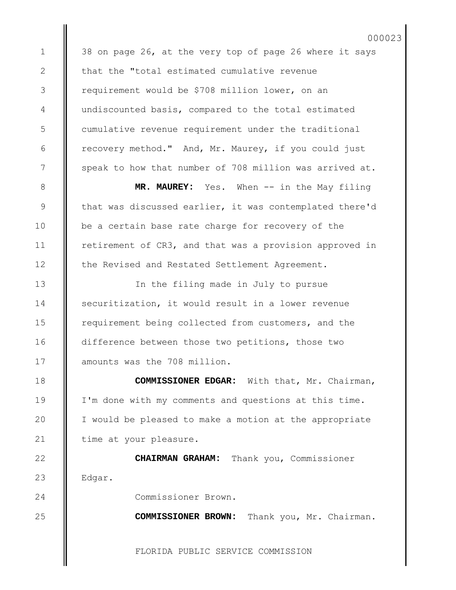38 on page 26, at the very top of page 26 where it says that the "total estimated cumulative revenue requirement would be \$708 million lower, on an undiscounted basis, compared to the total estimated cumulative revenue requirement under the traditional recovery method." And, Mr. Maurey, if you could just speak to how that number of 708 million was arrived at.

000023

**MR. MAUREY:** Yes. When -- in the May filing that was discussed earlier, it was contemplated there'd be a certain base rate charge for recovery of the retirement of CR3, and that was a provision approved in the Revised and Restated Settlement Agreement.

In the filing made in July to pursue securitization, it would result in a lower revenue requirement being collected from customers, and the difference between those two petitions, those two amounts was the 708 million.

**COMMISSIONER EDGAR:** With that, Mr. Chairman, I'm done with my comments and questions at this time. I would be pleased to make a motion at the appropriate time at your pleasure.

**CHAIRMAN GRAHAM:** Thank you, Commissioner Edgar.

Commissioner Brown.

**COMMISSIONER BROWN:** Thank you, Mr. Chairman.

FLORIDA PUBLIC SERVICE COMMISSION

19

20

21

22

23

24

25

1

2

3

4

5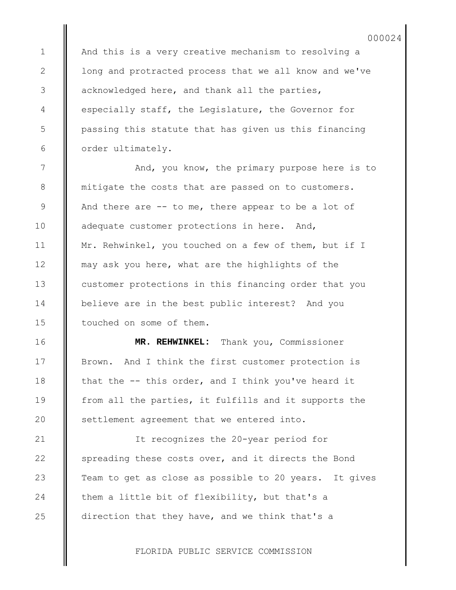And this is a very creative mechanism to resolving a long and protracted process that we all know and we've acknowledged here, and thank all the parties, especially staff, the Legislature, the Governor for passing this statute that has given us this financing order ultimately.

1

2

3

4

5

6

7

8

9

10

11

12

13

14

15

16

17

18

19

20

21

22

23

24

25

And, you know, the primary purpose here is to mitigate the costs that are passed on to customers. And there are  $--$  to me, there appear to be a lot of adequate customer protections in here. And, Mr. Rehwinkel, you touched on a few of them, but if I may ask you here, what are the highlights of the customer protections in this financing order that you believe are in the best public interest? And you touched on some of them.

**MR. REHWINKEL:** Thank you, Commissioner Brown. And I think the first customer protection is that the -- this order, and I think you've heard it from all the parties, it fulfills and it supports the settlement agreement that we entered into.

It recognizes the 20-year period for spreading these costs over, and it directs the Bond Team to get as close as possible to 20 years. It gives them a little bit of flexibility, but that's a direction that they have, and we think that's a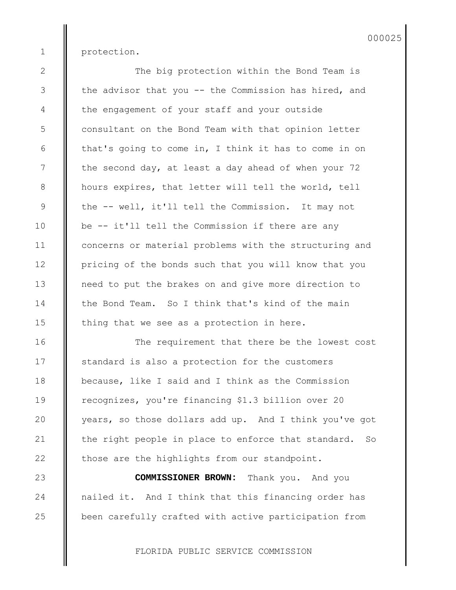protection.

1

2

3

4

5

6

7

8

9

10

11

12

13

14

15

16

17

18

19

20

21

22

23

24

25

The big protection within the Bond Team is the advisor that you -- the Commission has hired, and the engagement of your staff and your outside consultant on the Bond Team with that opinion letter that's going to come in, I think it has to come in on the second day, at least a day ahead of when your 72 hours expires, that letter will tell the world, tell the -- well, it'll tell the Commission. It may not be -- it'll tell the Commission if there are any concerns or material problems with the structuring and pricing of the bonds such that you will know that you need to put the brakes on and give more direction to the Bond Team. So I think that's kind of the main thing that we see as a protection in here.

The requirement that there be the lowest cost standard is also a protection for the customers because, like I said and I think as the Commission recognizes, you're financing \$1.3 billion over 20 years, so those dollars add up. And I think you've got the right people in place to enforce that standard. So those are the highlights from our standpoint.

**COMMISSIONER BROWN:** Thank you. And you nailed it. And I think that this financing order has been carefully crafted with active participation from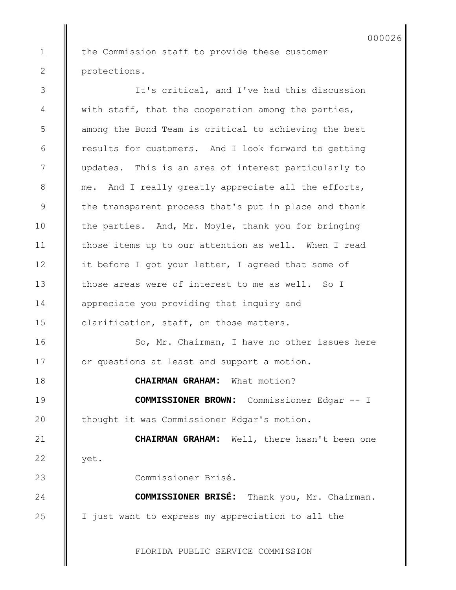the Commission staff to provide these customer protections.

1

2

It's critical, and I've had this discussion with staff, that the cooperation among the parties, among the Bond Team is critical to achieving the best results for customers. And I look forward to getting updates. This is an area of interest particularly to me. And I really greatly appreciate all the efforts, the transparent process that's put in place and thank the parties. And, Mr. Moyle, thank you for bringing those items up to our attention as well. When I read it before I got your letter, I agreed that some of those areas were of interest to me as well. So I appreciate you providing that inquiry and clarification, staff, on those matters. So, Mr. Chairman, I have no other issues here or questions at least and support a motion. **CHAIRMAN GRAHAM:** What motion? **COMMISSIONER BROWN:** Commissioner Edgar -- I thought it was Commissioner Edgar's motion. **CHAIRMAN GRAHAM:** Well, there hasn't been one yet. Commissioner Brisé. **COMMISSIONER BRISÉ:** Thank you, Mr. Chairman. I just want to express my appreciation to all the 3 4 5 6 7 8 9 10 11 12 13 14 15 16 17 18 19 20 21 22 23 24 25

FLORIDA PUBLIC SERVICE COMMISSION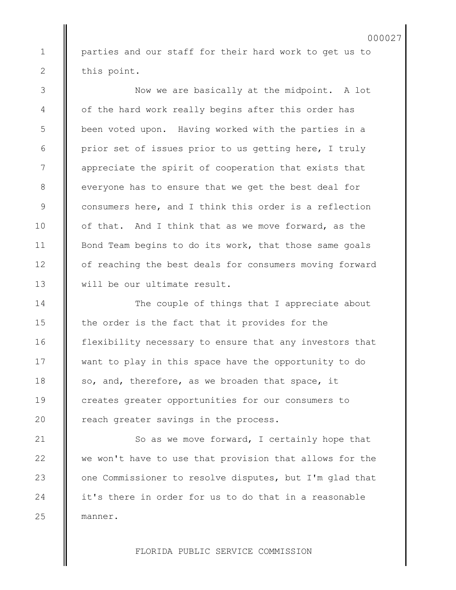parties and our staff for their hard work to get us to this point.

Now we are basically at the midpoint. A lot of the hard work really begins after this order has been voted upon. Having worked with the parties in a prior set of issues prior to us getting here, I truly appreciate the spirit of cooperation that exists that everyone has to ensure that we get the best deal for consumers here, and I think this order is a reflection of that. And I think that as we move forward, as the Bond Team begins to do its work, that those same goals of reaching the best deals for consumers moving forward will be our ultimate result.

The couple of things that I appreciate about the order is the fact that it provides for the flexibility necessary to ensure that any investors that want to play in this space have the opportunity to do so, and, therefore, as we broaden that space, it creates greater opportunities for our consumers to reach greater savings in the process.

So as we move forward, I certainly hope that we won't have to use that provision that allows for the one Commissioner to resolve disputes, but I'm glad that it's there in order for us to do that in a reasonable manner.

FLORIDA PUBLIC SERVICE COMMISSION

25

1

2

3

4

5

6

7

8

9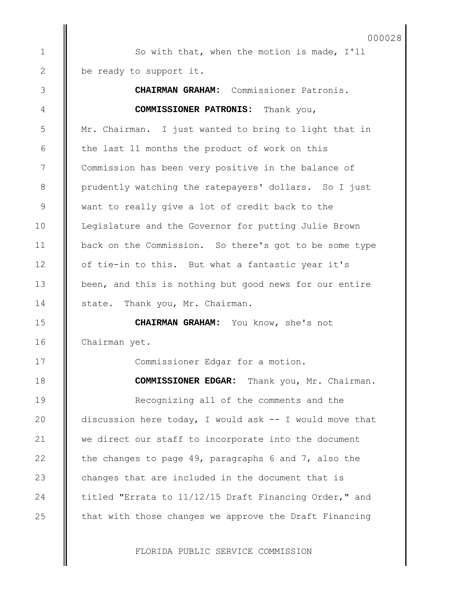## 000028

So with that, when the motion is made, I'll be ready to support it.

1

2

3

4

5

6

7

8

9

10

11

12

20

21

24

**CHAIRMAN GRAHAM:** Commissioner Patronis. **COMMISSIONER PATRONIS:** Thank you, Mr. Chairman. I just wanted to bring to light that in the last 11 months the product of work on this Commission has been very positive in the balance of prudently watching the ratepayers' dollars. So I just want to really give a lot of credit back to the Legislature and the Governor for putting Julie Brown back on the Commission. So there's got to be some type of tie-in to this. But what a fantastic year it's been, and this is nothing but good news for our entire state. Thank you, Mr. Chairman. **CHAIRMAN GRAHAM:** You know, she's not Chairman yet. Commissioner Edgar for a motion. **COMMISSIONER EDGAR:** Thank you, Mr. Chairman. Recognizing all of the comments and the discussion here today, I would ask -- I would move that we direct our staff to incorporate into the document the changes to page 49, paragraphs 6 and 7, also the changes that are included in the document that is titled "Errata to 11/12/15 Draft Financing Order," and that with those changes we approve the Draft Financing 13 14 15 16 17 18 19 22 23 25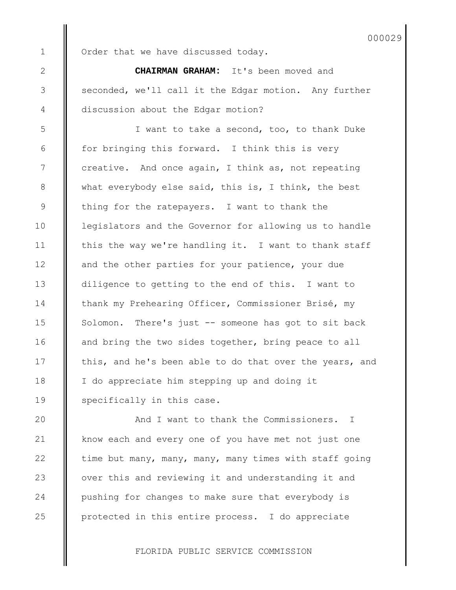1

2

3

4

5

6

7

8

9

10

11

12

13

14

15

16

17

18

19

20

21

22

23

24

25

Order that we have discussed today.

**CHAIRMAN GRAHAM:** It's been moved and seconded, we'll call it the Edgar motion. Any further discussion about the Edgar motion?

I want to take a second, too, to thank Duke for bringing this forward. I think this is very creative. And once again, I think as, not repeating what everybody else said, this is, I think, the best thing for the ratepayers. I want to thank the legislators and the Governor for allowing us to handle this the way we're handling it. I want to thank staff and the other parties for your patience, your due diligence to getting to the end of this. I want to thank my Prehearing Officer, Commissioner Brisé, my Solomon. There's just -- someone has got to sit back and bring the two sides together, bring peace to all this, and he's been able to do that over the years, and I do appreciate him stepping up and doing it specifically in this case.

And I want to thank the Commissioners. I know each and every one of you have met not just one time but many, many, many, many times with staff going over this and reviewing it and understanding it and pushing for changes to make sure that everybody is protected in this entire process. I do appreciate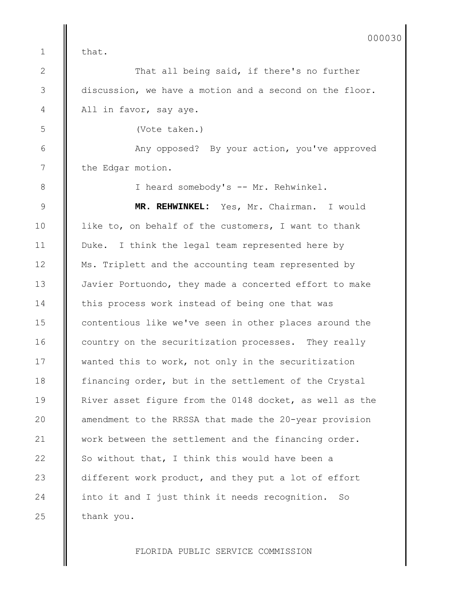that.

1

2

3

4

5

6

7

8

9

10

11

12

13

14

15

16

17

18

19

20

21

22

23

24

25

That all being said, if there's no further discussion, we have a motion and a second on the floor. All in favor, say aye.

(Vote taken.)

Any opposed? By your action, you've approved the Edgar motion.

I heard somebody's -- Mr. Rehwinkel.

**MR. REHWINKEL:** Yes, Mr. Chairman. I would like to, on behalf of the customers, I want to thank Duke. I think the legal team represented here by Ms. Triplett and the accounting team represented by Javier Portuondo, they made a concerted effort to make this process work instead of being one that was contentious like we've seen in other places around the country on the securitization processes. They really wanted this to work, not only in the securitization financing order, but in the settlement of the Crystal River asset figure from the 0148 docket, as well as the amendment to the RRSSA that made the 20-year provision work between the settlement and the financing order. So without that, I think this would have been a different work product, and they put a lot of effort into it and I just think it needs recognition. So thank you.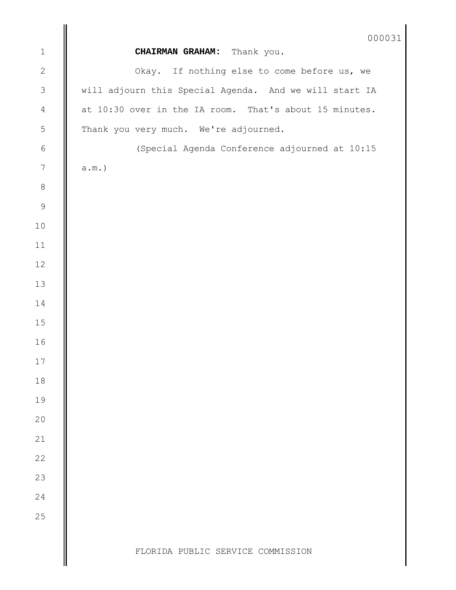|                | 000031                                                 |
|----------------|--------------------------------------------------------|
| $\mathbbm{1}$  | CHAIRMAN GRAHAM: Thank you.                            |
| $\overline{c}$ | Okay. If nothing else to come before us, we            |
| $\overline{3}$ | will adjourn this Special Agenda. And we will start IA |
| $\overline{4}$ | at 10:30 over in the IA room. That's about 15 minutes. |
| $\mathsf S$    | Thank you very much. We're adjourned.                  |
| $\,$ $\,$ $\,$ | (Special Agenda Conference adjourned at 10:15          |
| $\sqrt{ }$     | $a.m.$ )                                               |
| $\,8\,$        |                                                        |
| $\mathsf 9$    |                                                        |
| $10$           |                                                        |
| 11             |                                                        |
| 12             |                                                        |
| 13             |                                                        |
| 14             |                                                        |
| 15             |                                                        |
| 16             |                                                        |
| 17             |                                                        |
| 18             |                                                        |
| 19             |                                                        |
| 20             |                                                        |
| 21             |                                                        |
| 22             |                                                        |
| 23             |                                                        |
| 24             |                                                        |
| 25             |                                                        |
|                | FLORIDA PUBLIC SERVICE COMMISSION                      |